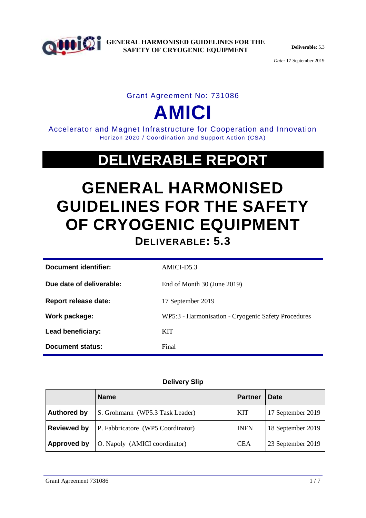

*Date:* 17 September 2019

### Grant Agreement No: 731086

# **AMICI**

Accelerator and Magnet Infrastructure for Cooperation and Innovation Horizon 2020 / Coordination and Support Action (CSA)

## **DELIVERABLE REPORT**

## **GENERAL HARMONISED GUIDELINES FOR THE SAFETY OF CRYOGENIC EQUIPMENT DELIVERABLE: 5.3**

| Document identifier:     | AMICI-D5.3                                          |
|--------------------------|-----------------------------------------------------|
| Due date of deliverable: | End of Month $30$ (June 2019)                       |
| Report release date:     | 17 September 2019                                   |
| Work package:            | WP5:3 - Harmonisation - Cryogenic Safety Procedures |
| Lead beneficiary:        | <b>KIT</b>                                          |
| Document status:         | Final                                               |

#### **Delivery Slip**

|                    | <b>Name</b>                       | <b>Partner</b> | Date              |
|--------------------|-----------------------------------|----------------|-------------------|
| <b>Authored by</b> | S. Grohmann (WP5.3 Task Leader)   | <b>KIT</b>     | 17 September 2019 |
| <b>Reviewed by</b> | P. Fabbricatore (WP5 Coordinator) | <b>INFN</b>    | 18 September 2019 |
| Approved by        | O. Napoly (AMICI coordinator)     | <b>CEA</b>     | 23 September 2019 |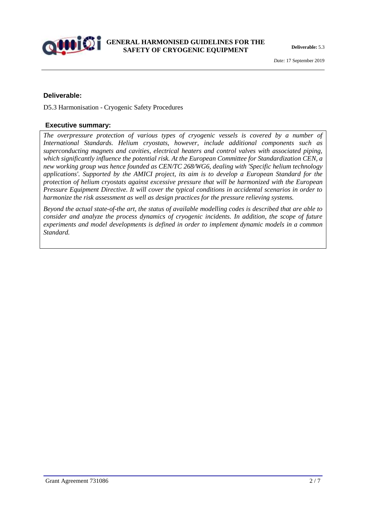

#### **Deliverable:**

D5.3 Harmonisation - Cryogenic Safety Procedures

#### **Executive summary:**

*The overpressure protection of various types of cryogenic vessels is covered by a number of International Standards. Helium cryostats, however, include additional components such as superconducting magnets and cavities, electrical heaters and control valves with associated piping, which significantly influence the potential risk. At the European Committee for Standardization CEN, a new working group was hence founded as CEN/TC 268/WG6, dealing with 'Specific helium technology applications'. Supported by the AMICI project, its aim is to develop a European Standard for the protection of helium cryostats against excessive pressure that will be harmonized with the European Pressure Equipment Directive. It will cover the typical conditions in accidental scenarios in order to harmonize the risk assessment as well as design practices for the pressure relieving systems.* 

*Beyond the actual state-of-the art, the status of available modelling codes is described that are able to consider and analyze the process dynamics of cryogenic incidents. In addition, the scope of future experiments and model developments is defined in order to implement dynamic models in a common Standard.*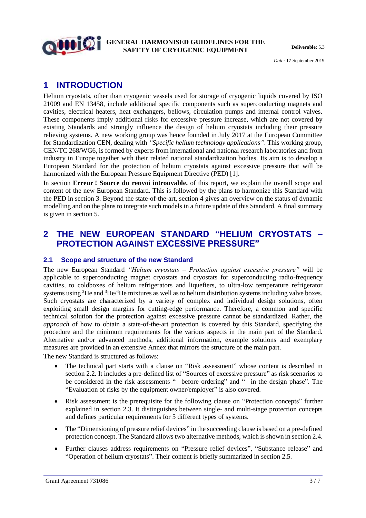

## **1 INTRODUCTION**

Helium cryostats, other than cryogenic vessels used for storage of cryogenic liquids covered by ISO 21009 and EN 13458, include additional specific components such as superconducting magnets and cavities, electrical heaters, heat exchangers, bellows, circulation pumps and internal control valves. These components imply additional risks for excessive pressure increase, which are not covered by existing Standards and strongly influence the design of helium cryostats including their pressure relieving systems. A new working group was hence founded in July 2017 at the European Committee for Standardization CEN, dealing with *"Specific helium technology applications"*. This working group, CEN/TC 268/WG6, is formed by experts from international and national research laboratories and from industry in Europe together with their related national standardization bodies. Its aim is to develop a European Standard for the protection of helium cryostats against excessive pressure that will be harmonized with the European Pressure Equipment Directive (PED) [\[1\].](#page-6-0)

In section **Erreur ! Source du renvoi introuvable.** of this report, we explain the overall scope and content of the new European Standard. This is followed by the plans to harmonize this Standard with the PED in section [3.](#page-5-0) Beyond the state-of-the-art, section [4](#page-5-1) gives an overview on the status of dynamic modelling and on the plans to integrate such models in a future update of this Standard. A final summary is given in section [5.](#page-6-1)

## **2 THE NEW EUROPEAN STANDARD "HELIUM CRYOSTATS – PROTECTION AGAINST EXCESSIVE PRESSURE"**

#### **2.1 Scope and structure of the new Standard**

The new European Standard *"Helium cryostats – Protection against excessive pressure"* will be applicable to superconducting magnet cryostats and cryostats for superconducting radio-frequency cavities, to coldboxes of helium refrigerators and liquefiers, to ultra-low temperature refrigerator systems using <sup>3</sup>He and <sup>3</sup>He/<sup>4</sup>He mixtures as well as to helium distribution systems including valve boxes. Such cryostats are characterized by a variety of complex and individual design solutions, often exploiting small design margins for cutting-edge performance. Therefore, a common and specific technical solution for the protection against excessive pressure cannot be standardized. Rather, the *approach* of how to obtain a state-of-the-art protection is covered by this Standard, specifying the procedure and the minimum requirements for the various aspects in the main part of the Standard. Alternative and/or advanced methods, additional information, example solutions and exemplary measures are provided in an extensive Annex that mirrors the structure of the main part.

The new Standard is structured as follows:

- The technical part starts with a clause on "Risk assessment" whose content is described in section [2.2.](#page-3-0) It includes a pre-defined list of "Sources of excessive pressure" as risk scenarios to be considered in the risk assessments "– before ordering" and "– in the design phase". The "Evaluation of risks by the equipment owner/employer" is also covered.
- Risk assessment is the prerequisite for the following clause on "Protection concepts" further explained in section [2.3.](#page-3-1) It distinguishes between single- and multi-stage protection concepts and defines particular requirements for 5 different types of systems.
- The "Dimensioning of pressure relief devices" in the succeeding clause is based on a pre-defined protection concept. The Standard allows two alternative methods, which is shown in sectio[n 2.4.](#page-4-0)
- Further clauses address requirements on "Pressure relief devices", "Substance release" and "Operation of helium cryostats". Their content is briefly summarized in sectio[n 2.5.](#page-4-1)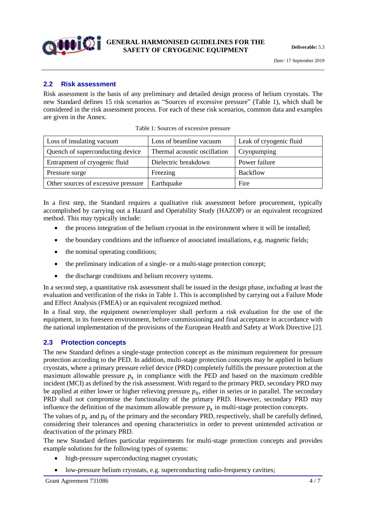

#### <span id="page-3-0"></span>**2.2 Risk assessment**

Risk assessment is the basis of any preliminary and detailed design process of helium cryostats. The new Standard defines 15 risk scenarios as "Sources of excessive pressure" [\(Table 1\)](#page-3-2), which shall be considered in the risk assessment process. For each of these risk scenarios, common data and examples are given in the Annex.

<span id="page-3-2"></span>

| Loss of insulating vacuum           | Leak of cryogenic fluid<br>Loss of beamline vacuum |                 |
|-------------------------------------|----------------------------------------------------|-----------------|
| Quench of superconducting device    | Thermal acoustic oscillation                       | Cryopumping     |
| Entrapment of cryogenic fluid       | Dielectric breakdown                               | Power failure   |
| Pressure surge                      | Freezing                                           | <b>Backflow</b> |
| Other sources of excessive pressure | Earthquake                                         | Fire            |

Table 1: Sources of excessive pressure

In a first step, the Standard requires a qualitative risk assessment before procurement, typically accomplished by carrying out a Hazard and Operability Study (HAZOP) or an equivalent recognized method. This may typically include:

- the process integration of the helium cryostat in the environment where it will be installed;
- the boundary conditions and the influence of associated installations, e.g. magnetic fields;
- the nominal operating conditions;
- the preliminary indication of a single- or a multi-stage protection concept;
- the discharge conditions and helium recovery systems.

In a second step, a quantitative risk assessment shall be issued in the design phase, including at least the evaluation and verification of the risks i[n Table 1.](#page-3-2) This is accomplished by carrying out a Failure Mode and Effect Analysis (FMEA) or an equivalent recognized method.

In a final step, the equipment owner/employer shall perform a risk evaluation for the use of the equipment, in its foreseen environment, before commissioning and final acceptance in accordance with the national implementation of the provisions of the European Health and Safety at Work Directive [\[2\].](#page-6-2)

#### <span id="page-3-1"></span>**2.3 Protection concepts**

The new Standard defines a single-stage protection concept as the minimum requirement for pressure protection according to the PED. In addition, multi-stage protection concepts may be applied in helium cryostats, where a primary pressure relief device (PRD) completely fulfills the pressure protection at the maximum allowable pressure  $p_s$  in compliance with the PED and based on the maximum credible incident (MCI) as defined by the risk assessment. With regard to the primary PRD, secondary PRD may be applied at either lower or higher relieving pressure  $p_0$ , either in series or in parallel. The secondary PRD shall not compromise the functionality of the primary PRD. However, secondary PRD may influence the definition of the maximum allowable pressure  $p_s$  in multi-stage protection concepts.

The values of  $p_s$  and  $p_0$  of the primary and the secondary PRD, respectively, shall be carefully defined, considering their tolerances and opening characteristics in order to prevent unintended activation or deactivation of the primary PRD.

The new Standard defines particular requirements for multi-stage protection concepts and provides example solutions for the following types of systems:

- high-pressure superconducting magnet cryostats;
- low-pressure helium cryostats, e.g. superconducting radio-frequency cavities;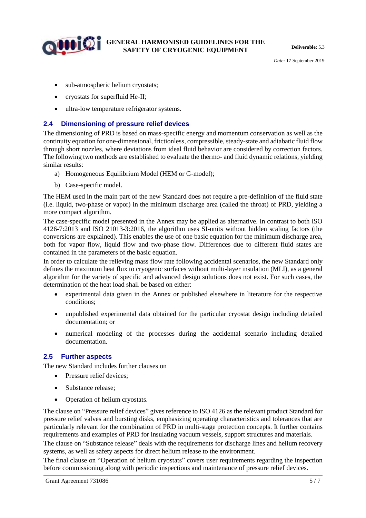

- sub-atmospheric helium cryostats;
- cryostats for superfluid He-II;
- ultra-low temperature refrigerator systems.

#### <span id="page-4-0"></span>**2.4 Dimensioning of pressure relief devices**

The dimensioning of PRD is based on mass-specific energy and momentum conservation as well as the continuity equation for one-dimensional, frictionless, compressible, steady-state and adiabatic fluid flow through short nozzles, where deviations from ideal fluid behavior are considered by correction factors. The following two methods are established to evaluate the thermo- and fluid dynamic relations, yielding similar results:

- a) Homogeneous Equilibrium Model (HEM or G-model);
- b) Case-specific model.

The HEM used in the main part of the new Standard does not require a pre-definition of the fluid state (i.e. liquid, two-phase or vapor) in the minimum discharge area (called the throat) of PRD, yielding a more compact algorithm.

The case-specific model presented in the Annex may be applied as alternative. In contrast to both ISO 4126-7:2013 and ISO 21013-3:2016, the algorithm uses SI-units without hidden scaling factors (the conversions are explained). This enables the use of one basic equation for the minimum discharge area, both for vapor flow, liquid flow and two-phase flow. Differences due to different fluid states are contained in the parameters of the basic equation.

In order to calculate the relieving mass flow rate following accidental scenarios, the new Standard only defines the maximum heat flux to cryogenic surfaces without multi-layer insulation (MLI), as a general algorithm for the variety of specific and advanced design solutions does not exist. For such cases, the determination of the heat load shall be based on either:

- experimental data given in the Annex or published elsewhere in literature for the respective conditions;
- unpublished experimental data obtained for the particular cryostat design including detailed documentation; or
- numerical modeling of the processes during the accidental scenario including detailed documentation.

#### <span id="page-4-1"></span>**2.5 Further aspects**

The new Standard includes further clauses on

- Pressure relief devices:
- Substance release:
- Operation of helium cryostats.

The clause on "Pressure relief devices" gives reference to ISO 4126 as the relevant product Standard for pressure relief valves and bursting disks, emphasizing operating characteristics and tolerances that are particularly relevant for the combination of PRD in multi-stage protection concepts. It further contains requirements and examples of PRD for insulating vacuum vessels, support structures and materials. The clause on "Substance release" deals with the requirements for discharge lines and helium recovery

systems, as well as safety aspects for direct helium release to the environment.

The final clause on "Operation of helium cryostats" covers user requirements regarding the inspection before commissioning along with periodic inspections and maintenance of pressure relief devices.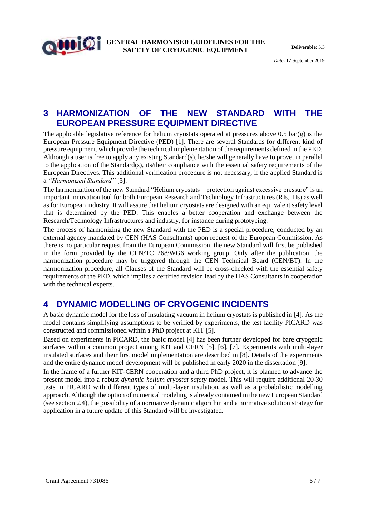

## <span id="page-5-0"></span>**3 HARMONIZATION OF THE NEW STANDARD WITH THE EUROPEAN PRESSURE EQUIPMENT DIRECTIVE**

The applicable legislative reference for helium cryostats operated at pressures above 0.5 bar(g) is the European Pressure Equipment Directive (PED) [\[1\].](#page-6-0) There are several Standards for different kind of pressure equipment, which provide the technical implementation of the requirements defined in the PED. Although a user is free to apply any existing Standard(s), he/she will generally have to prove, in parallel to the application of the Standard(s), its/their compliance with the essential safety requirements of the European Directives. This additional verification procedure is not necessary, if the applied Standard is a *"Harmonized Standard"* [\[3\].](#page-6-3)

The harmonization of the new Standard "Helium cryostats – protection against excessive pressure" is an important innovation tool for both European Research and Technology Infrastructures (RIs, TIs) as well as for European industry. It will assure that helium cryostats are designed with an equivalent safety level that is determined by the PED. This enables a better cooperation and exchange between the Research/Technology Infrastructures and industry, for instance during prototyping.

The process of harmonizing the new Standard with the PED is a special procedure, conducted by an external agency mandated by CEN (HAS Consultants) upon request of the European Commission. As there is no particular request from the European Commission, the new Standard will first be published in the form provided by the CEN/TC 268/WG6 working group. Only after the publication, the harmonization procedure may be triggered through the CEN Technical Board (CEN/BT). In the harmonization procedure, all Clauses of the Standard will be cross-checked with the essential safety requirements of the PED, which implies a certified revision lead by the HAS Consultants in cooperation with the technical experts.

### <span id="page-5-1"></span>**4 DYNAMIC MODELLING OF CRYOGENIC INCIDENTS**

A basic dynamic model for the loss of insulating vacuum in helium cryostats is published in [\[4\].](#page-6-4) As the model contains simplifying assumptions to be verified by experiments, the test facility PICARD was constructed and commissioned within a PhD project at KIT [\[5\].](#page-6-5)

Based on experiments in PICARD, the basic model [\[4\]](#page-6-4) has been further developed for bare cryogenic surfaces within a common project among KIT and CERN [\[5\],](#page-6-5) [\[6\],](#page-6-6) [\[7\].](#page-6-7) Experiments with multi-layer insulated surfaces and their first model implementation are described in [\[8\].](#page-6-8) Details of the experiments and the entire dynamic model development will be published in early 2020 in the dissertation [\[9\].](#page-6-9)

In the frame of a further KIT-CERN cooperation and a third PhD project, it is planned to advance the present model into a robust *dynamic helium cryostat safety* model. This will require additional 20-30 tests in PICARD with different types of multi-layer insulation, as well as a probabilistic modelling approach. Although the option of numerical modeling is already contained in the new European Standard (see sectio[n 2.4\)](#page-4-0), the possibility of a normative dynamic algorithm and a normative solution strategy for application in a future update of this Standard will be investigated.